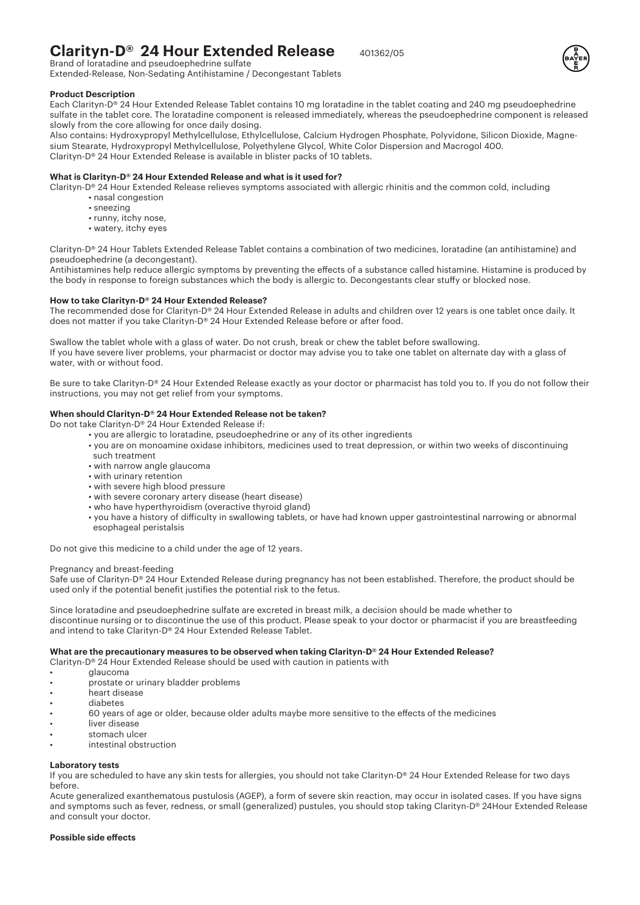# **Clarityn-D® 24 Hour Extended Release** 401362/05 Brand of loratadine and pseudoephedrine sulfate



Extended-Release, Non-Sedating Antihistamine / Decongestant Tablets

# **Product Description**

Each Clarityn-D® 24 Hour Extended Release Tablet contains 10 mg loratadine in the tablet coating and 240 mg pseudoephedrine sulfate in the tablet core. The loratadine component is released immediately, whereas the pseudoephedrine component is released slowly from the core allowing for once daily dosing.

Also contains: Hydroxypropyl Methylcellulose, Ethylcellulose, Calcium Hydrogen Phosphate, Polyvidone, Silicon Dioxide, Magnesium Stearate, Hydroxypropyl Methylcellulose, Polyethylene Glycol, White Color Dispersion and Macrogol 400. Clarityn-D® 24 Hour Extended Release is available in blister packs of 10 tablets.

# **What is Clarityn-D® 24 Hour Extended Release and what is it used for?**

Clarityn-D® 24 Hour Extended Release relieves symptoms associated with allergic rhinitis and the common cold, including

- nasal congestion
- sneezing
- runny, itchy nose,
- watery, itchy eyes

Clarityn-D® 24 Hour Tablets Extended Release Tablet contains a combination of two medicines, loratadine (an antihistamine) and pseudoephedrine (a decongestant).

Antihistamines help reduce allergic symptoms by preventing the effects of a substance called histamine. Histamine is produced by the body in response to foreign substances which the body is allergic to. Decongestants clear stuffy or blocked nose.

#### **How to take Clarityn-D® 24 Hour Extended Release?**

The recommended dose for Clarityn-D® 24 Hour Extended Release in adults and children over 12 years is one tablet once daily. It does not matter if you take Clarityn-D® 24 Hour Extended Release before or after food.

Swallow the tablet whole with a glass of water. Do not crush, break or chew the tablet before swallowing. If you have severe liver problems, your pharmacist or doctor may advise you to take one tablet on alternate day with a glass of water, with or without food.

Be sure to take Clarityn-D® 24 Hour Extended Release exactly as your doctor or pharmacist has told you to. If you do not follow their instructions, you may not get relief from your symptoms.

# **When should Clarityn-D® 24 Hour Extended Release not be taken?**

- Do not take Clarityn-D® 24 Hour Extended Release if:
	- you are allergic to loratadine, pseudoephedrine or any of its other ingredients
	- you are on monoamine oxidase inhibitors, medicines used to treat depression, or within two weeks of discontinuing such treatment
	- with narrow angle glaucoma
	- with urinary retention
	- with severe high blood pressure
	- with severe coronary artery disease (heart disease)
	- who have hyperthyroidism (overactive thyroid gland)
	- you have a history of di�iculty in swallowing tablets, or have had known upper gastrointestinal narrowing or abnormal esophageal peristalsis

Do not give this medicine to a child under the age of 12 years.

## Pregnancy and breast-feeding

Safe use of Clarityn-D® 24 Hour Extended Release during pregnancy has not been established. Therefore, the product should be used only if the potential benefit justifies the potential risk to the fetus.

Since loratadine and pseudoephedrine sulfate are excreted in breast milk, a decision should be made whether to discontinue nursing or to discontinue the use of this product. Please speak to your doctor or pharmacist if you are breastfeeding and intend to take Clarityn-D® 24 Hour Extended Release Tablet.

## **What are the precautionary measures to be observed when taking Clarityn-D® 24 Hour Extended Release?**

Clarityn-D® 24 Hour Extended Release should be used with caution in patients with

- glaucoma
- prostate or urinary bladder problems
- heart disease
- diabetes
	- 60 years of age or older, because older adults maybe more sensitive to the effects of the medicines
- liver disease
- stomach ulcer
- intestinal obstruction

#### **Laboratory tests**

If you are scheduled to have any skin tests for allergies, you should not take Clarityn-D® 24 Hour Extended Release for two days before.

Acute generalized exanthematous pustulosis (AGEP), a form of severe skin reaction, may occur in isolated cases. If you have signs and symptoms such as fever, redness, or small (generalized) pustules, you should stop taking Clarityn-D® 24Hour Extended Release and consult your doctor.

#### **Possible side effects**